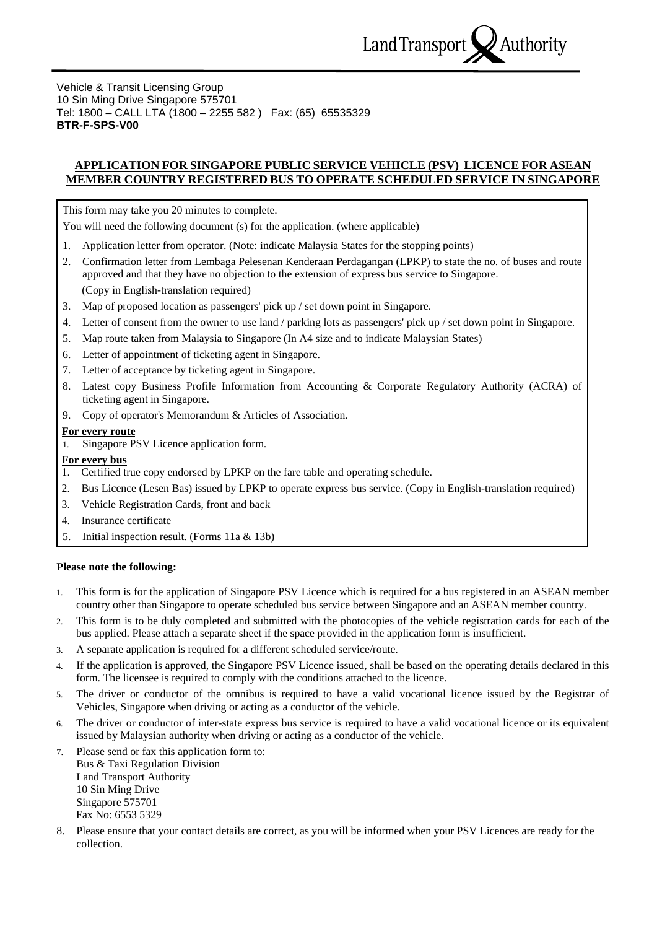

Vehicle & Transit Licensing Group 10 Sin Ming Drive Singapore 575701 Tel: 1800 – CALL LTA (1800 – 2255 582 ) Fax: (65) 65535329 **BTR-F-SPS-V00**

# **APPLICATION FOR SINGAPORE PUBLIC SERVICE VEHICLE (PSV) LICENCE FOR ASEAN MEMBER COUNTRY REGISTERED BUS TO OPERATE SCHEDULED SERVICE IN SINGAPORE**

This form may take you 20 minutes to complete.

You will need the following document (s) for the application. (where applicable)

- 1. Application letter from operator. (Note: indicate Malaysia States for the stopping points)
- 2. Confirmation letter from Lembaga Pelesenan Kenderaan Perdagangan (LPKP) to state the no. of buses and route approved and that they have no objection to the extension of express bus service to Singapore. (Copy in English-translation required)
- 3. Map of proposed location as passengers' pick up / set down point in Singapore.
- 4. Letter of consent from the owner to use land / parking lots as passengers' pick up / set down point in Singapore.
- 5. Map route taken from Malaysia to Singapore (In A4 size and to indicate Malaysian States)
- 6. Letter of appointment of ticketing agent in Singapore.
- 7. Letter of acceptance by ticketing agent in Singapore.
- 8. Latest copy Business Profile Information from Accounting & Corporate Regulatory Authority (ACRA) of ticketing agent in Singapore.
- 9. Copy of operator's Memorandum & Articles of Association.

## **For every route**

1. Singapore PSV Licence application form.

## **For every bus**

- 1. Certified true copy endorsed by LPKP on the fare table and operating schedule.
- 2. Bus Licence (Lesen Bas) issued by LPKP to operate express bus service. (Copy in English-translation required)
- 3. Vehicle Registration Cards, front and back
- 4. Insurance certificate
- 5. Initial inspection result. (Forms 11a & 13b)

### **Please note the following:**

- 1. This form is for the application of Singapore PSV Licence which is required for a bus registered in an ASEAN member country other than Singapore to operate scheduled bus service between Singapore and an ASEAN member country.
- 2. This form is to be duly completed and submitted with the photocopies of the vehicle registration cards for each of the bus applied. Please attach a separate sheet if the space provided in the application form is insufficient.
- 3. A separate application is required for a different scheduled service/route.
- 4. If the application is approved, the Singapore PSV Licence issued, shall be based on the operating details declared in this form. The licensee is required to comply with the conditions attached to the licence.
- 5. The driver or conductor of the omnibus is required to have a valid vocational licence issued by the Registrar of Vehicles, Singapore when driving or acting as a conductor of the vehicle.
- 6. The driver or conductor of inter-state express bus service is required to have a valid vocational licence or its equivalent issued by Malaysian authority when driving or acting as a conductor of the vehicle.
- 7. Please send or fax this application form to: Bus & Taxi Regulation Division Land Transport Authority 10 Sin Ming Drive Singapore 575701 Fax No: 6553 5329
- 8. Please ensure that your contact details are correct, as you will be informed when your PSV Licences are ready for the collection.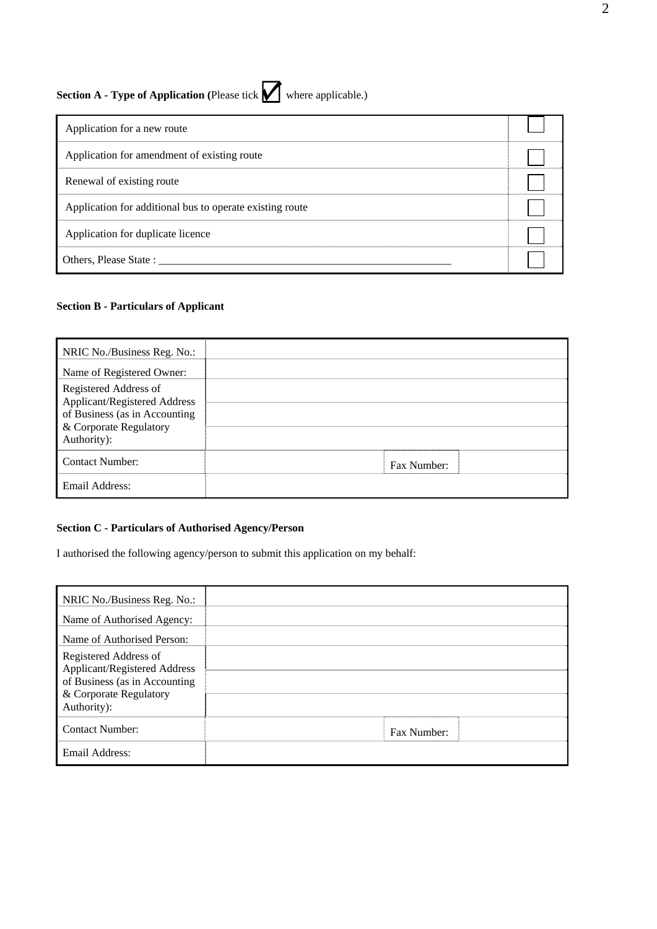# **Section A - Type of Application** (Please tick where applicable.)

| Application for a new route                              |  |
|----------------------------------------------------------|--|
| Application for amendment of existing route              |  |
| Renewal of existing route                                |  |
| Application for additional bus to operate existing route |  |
| Application for duplicate licence                        |  |
| Others, Please State :                                   |  |

## **Section B - Particulars of Applicant**

| NRIC No./Business Reg. No.:<br>Name of Registered Owner:                                                                        |             |  |
|---------------------------------------------------------------------------------------------------------------------------------|-------------|--|
| Registered Address of<br>Applicant/Registered Address<br>of Business (as in Accounting<br>& Corporate Regulatory<br>Authority): |             |  |
| Contact Number:                                                                                                                 | Fax Number: |  |
| Email Address:                                                                                                                  |             |  |

# **Section C - Particulars of Authorised Agency/Person**

I authorised the following agency/person to submit this application on my behalf:

| NRIC No./Business Reg. No.:                                                                                                     |             |  |
|---------------------------------------------------------------------------------------------------------------------------------|-------------|--|
| Name of Authorised Agency:                                                                                                      |             |  |
| Name of Authorised Person:                                                                                                      |             |  |
| Registered Address of<br>Applicant/Registered Address<br>of Business (as in Accounting<br>& Corporate Regulatory<br>Authority): |             |  |
| <b>Contact Number:</b>                                                                                                          | Fax Number: |  |
| Email Address:                                                                                                                  |             |  |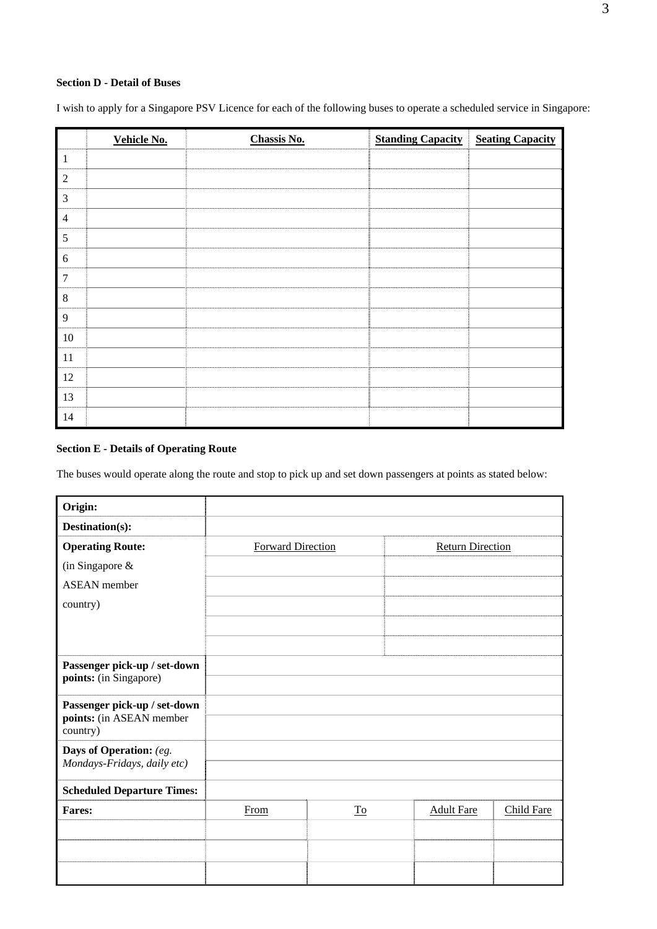# **Section D - Detail of Buses**

I wish to apply for a Singapore PSV Licence for each of the following buses to operate a scheduled service in Singapore:

|                | Vehicle No. | <b>Chassis No.</b> | <b>Standing Capacity</b> | <b>Seating Capacity</b> |
|----------------|-------------|--------------------|--------------------------|-------------------------|
| $\mathbf{1}$   |             |                    |                          |                         |
| $\sqrt{2}$     |             |                    |                          |                         |
| $\mathfrak{Z}$ |             |                    |                          |                         |
| $\overline{4}$ |             |                    |                          |                         |
| $\sqrt{5}$     |             |                    |                          |                         |
| $\sqrt{6}$     |             |                    |                          |                         |
| $\overline{7}$ |             |                    |                          |                         |
| $\,8\,$        |             |                    |                          |                         |
| $\overline{9}$ |             |                    |                          |                         |
| $10\,$         |             |                    |                          |                         |
| 11             |             |                    |                          |                         |
| $12\,$         |             |                    |                          |                         |
| 13             |             |                    |                          |                         |
| 14             |             |                    |                          |                         |

# **Section E - Details of Operating Route**

The buses would operate along the route and stop to pick up and set down passengers at points as stated below:

|      |                                 | <b>Return Direction</b>  |                   |                   |
|------|---------------------------------|--------------------------|-------------------|-------------------|
|      |                                 |                          |                   |                   |
|      |                                 |                          |                   |                   |
|      |                                 |                          |                   |                   |
|      |                                 |                          |                   |                   |
|      |                                 |                          |                   |                   |
|      |                                 |                          |                   |                   |
|      |                                 |                          |                   |                   |
|      |                                 |                          |                   |                   |
|      |                                 |                          |                   |                   |
|      |                                 |                          |                   |                   |
|      |                                 |                          |                   |                   |
| From | $\underline{\operatorname{To}}$ |                          | <b>Adult Fare</b> | <b>Child Fare</b> |
|      |                                 |                          |                   |                   |
|      |                                 |                          |                   |                   |
|      |                                 |                          |                   |                   |
|      |                                 | <b>Forward Direction</b> |                   |                   |